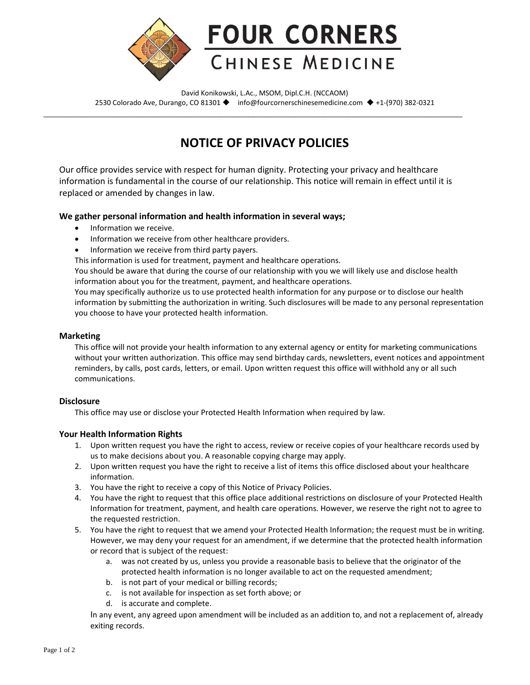

David Konikowski, L.Ac., MSOM, Dipl.C.H. (NCCAOM) 2530 Colorado Ave, Durango, CO 81301 ◆ info@fourcornerschinesemedicine.com ◆ +1-(970) 382-0321

\_\_\_\_\_\_\_\_\_\_\_\_\_\_\_\_\_\_\_\_\_\_\_\_\_\_\_\_\_\_\_\_\_\_\_\_\_\_\_\_\_\_\_\_\_\_\_\_\_\_\_\_\_\_\_\_\_\_\_\_\_\_\_\_\_\_\_\_\_\_\_\_\_\_\_\_\_\_\_\_\_\_\_\_\_\_\_\_

# **NOTICE OF PRIVACY POLICIES**

Our office provides service with respect for human dignity. Protecting your privacy and healthcare information is fundamental in the course of our relationship. This notice will remain in effect until it is replaced or amended by changes in law.

## **We gather personal information and health information in several ways;**

- Information we receive.
- Information we receive from other healthcare providers.
- Information we receive from third party payers.

This information is used for treatment, payment and healthcare operations.

You should be aware that during the course of our relationship with you we will likely use and disclose health information about you for the treatment, payment, and healthcare operations.

You may specifically authorize us to use protected health information for any purpose or to disclose our health information by submitting the authorization in writing. Such disclosures will be made to any personal representation you choose to have your protected health information.

#### **Marketing**

This office will not provide your health information to any external agency or entity for marketing communications without your written authorization. This office may send birthday cards, newsletters, event notices and appointment reminders, by calls, post cards, letters, or email. Upon written request this office will withhold any or all such communications.

## **Disclosure**

This office may use or disclose your Protected Health Information when required by law.

## **Your Health Information Rights**

- 1. Upon written request you have the right to access, review or receive copies of your healthcare records used by us to make decisions about you. A reasonable copying charge may apply.
- 2. Upon written request you have the right to receive a list of items this office disclosed about your healthcare information.
- 3. You have the right to receive a copy of this Notice of Privacy Policies.
- 4. You have the right to request that this office place additional restrictions on disclosure of your Protected Health Information for treatment, payment, and health care operations. However, we reserve the right not to agree to the requested restriction.
- 5. You have the right to request that we amend your Protected Health Information; the request must be in writing. However, we may deny your request for an amendment, if we determine that the protected health information or record that is subject of the request:
	- a. was not created by us, unless you provide a reasonable basis to believe that the originator of the protected health information is no longer available to act on the requested amendment;
	- b. is not part of your medical or billing records;
	- c. is not available for inspection as set forth above; or
	- d. is accurate and complete.

In any event, any agreed upon amendment will be included as an addition to, and not a replacement of, already exiting records.